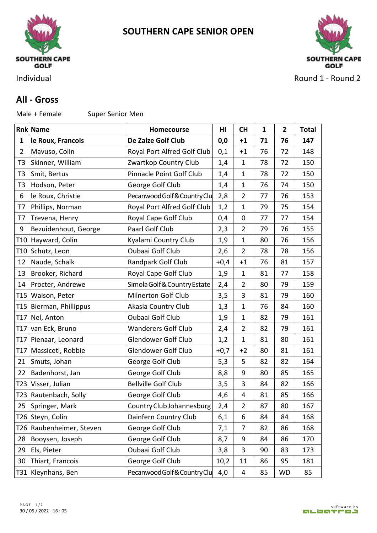

**SOUTHERN CAPE SENIOR OPEN**



Individual **Round 1 - Round 2** 

## **All - Gross**

Male + Female Super Senior Men

|                 | <b>Rnk Name</b>           | Homecourse                   | HI     | <b>CH</b>      | 1  | $\mathbf{2}$ | <b>Total</b> |
|-----------------|---------------------------|------------------------------|--------|----------------|----|--------------|--------------|
| 1               | le Roux, Francois         | De Zalze Golf Club           | 0,0    | $+1$           | 71 | 76           | 147          |
| $\overline{2}$  | Mavuso, Colin             | Royal Port Alfred Golf Club  | 0,1    | $+1$           | 76 | 72           | 148          |
| T <sub>3</sub>  | Skinner, William          | Zwartkop Country Club        | 1,4    | 1              | 78 | 72           | 150          |
| T <sub>3</sub>  | Smit, Bertus              | Pinnacle Point Golf Club     | 1,4    | $\mathbf{1}$   | 78 | 72           | 150          |
| T <sub>3</sub>  | Hodson, Peter             | George Golf Club             | 1,4    | 1              | 76 | 74           | 150          |
| 6               | le Roux, Christie         | Pecanwood Golf & Country Clu | 2,8    | 2              | 77 | 76           | 153          |
| T7              | Phillips, Norman          | Royal Port Alfred Golf Club  | 1,2    | $\mathbf{1}$   | 79 | 75           | 154          |
| T7              | Trevena, Henry            | Royal Cape Golf Club         | 0,4    | 0              | 77 | 77           | 154          |
| 9               | Bezuidenhout, George      | Paarl Golf Club              | 2,3    | 2              | 79 | 76           | 155          |
|                 | T10 Hayward, Colin        | Kyalami Country Club         | 1,9    | $\mathbf{1}$   | 80 | 76           | 156          |
|                 | T10 Schutz, Leon          | Oubaai Golf Club             | 2,6    | $\overline{2}$ | 78 | 78           | 156          |
| 12              | Naude, Schalk             | Randpark Golf Club           | $+0,4$ | $+1$           | 76 | 81           | 157          |
| 13              | Brooker, Richard          | Royal Cape Golf Club         | 1,9    | $\mathbf{1}$   | 81 | 77           | 158          |
| 14              | Procter, Andrewe          | Simola Golf & Country Estate | 2,4    | 2              | 80 | 79           | 159          |
|                 | T15 Waison, Peter         | <b>Milnerton Golf Club</b>   | 3,5    | 3              | 81 | 79           | 160          |
|                 | T15   Bierman, Phillippus | Akasia Country Club          | 1,3    | 1              | 76 | 84           | 160          |
|                 | T17 Nel, Anton            | Oubaai Golf Club             | 1,9    | 1              | 82 | 79           | 161          |
| T <sub>17</sub> | van Eck, Bruno            | <b>Wanderers Golf Club</b>   | 2,4    | 2              | 82 | 79           | 161          |
|                 | T17 Pienaar, Leonard      | Glendower Golf Club          | 1,2    | $\mathbf{1}$   | 81 | 80           | 161          |
|                 | T17   Massiceti, Robbie   | Glendower Golf Club          | $+0,7$ | $+2$           | 80 | 81           | 161          |
| 21              | Smuts, Johan              | George Golf Club             | 5,3    | 5              | 82 | 82           | 164          |
| 22              | Badenhorst, Jan           | George Golf Club             | 8,8    | 9              | 80 | 85           | 165          |
|                 | T23 Visser, Julian        | <b>Bellville Golf Club</b>   | 3,5    | 3              | 84 | 82           | 166          |
|                 | T23 Rautenbach, Solly     | George Golf Club             | 4,6    | 4              | 81 | 85           | 166          |
|                 | 25   Springer, Mark       | Country Club Johannesburg    | 2,4    | 2              | 87 | 80           | 167          |
|                 | T26 Steyn, Colin          | Dainfern Country Club        | 6,1    | 6              | 84 | 84           | 168          |
|                 | T26 Raubenheimer, Steven  | George Golf Club             | 7,1    | 7              | 82 | 86           | 168          |
| 28              | Booysen, Joseph           | George Golf Club             | 8,7    | 9              | 84 | 86           | 170          |
| 29              | Els, Pieter               | Oubaai Golf Club             | 3,8    | 3              | 90 | 83           | 173          |
| 30              | Thiart, Francois          | George Golf Club             | 10,2   | 11             | 86 | 95           | 181          |
|                 | T31 Kleynhans, Ben        | Pecanwood Golf & Country Clu | 4,0    | 4              | 85 | <b>WD</b>    | 85           |